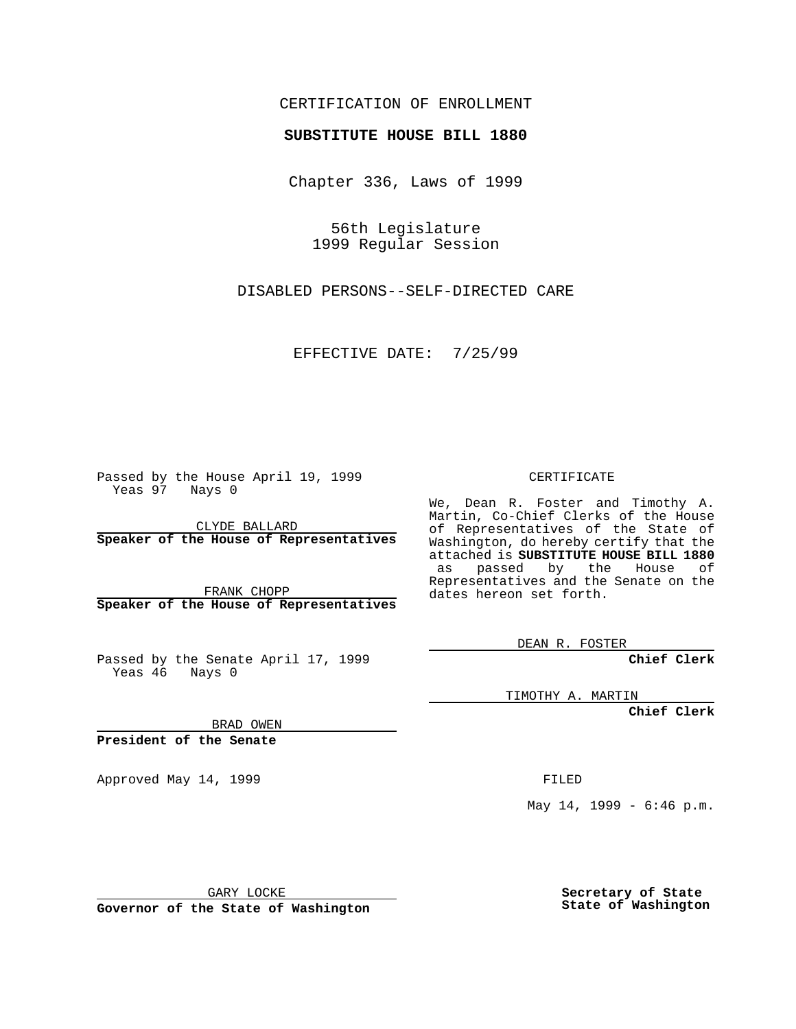## CERTIFICATION OF ENROLLMENT

## **SUBSTITUTE HOUSE BILL 1880**

Chapter 336, Laws of 1999

56th Legislature 1999 Regular Session

DISABLED PERSONS--SELF-DIRECTED CARE

EFFECTIVE DATE: 7/25/99

Passed by the House April 19, 1999 Yeas 97 Nays 0

CLYDE BALLARD **Speaker of the House of Representatives**

FRANK CHOPP **Speaker of the House of Representatives**

Passed by the Senate April 17, 1999 Yeas 46 Nays 0

CERTIFICATE

We, Dean R. Foster and Timothy A. Martin, Co-Chief Clerks of the House of Representatives of the State of Washington, do hereby certify that the attached is **SUBSTITUTE HOUSE BILL 1880** as passed by the House of Representatives and the Senate on the dates hereon set forth.

DEAN R. FOSTER

**Chief Clerk**

TIMOTHY A. MARTIN

**Chief Clerk**

BRAD OWEN

**President of the Senate**

Approved May 14, 1999 **FILED** 

May 14, 1999 - 6:46 p.m.

GARY LOCKE

**Governor of the State of Washington**

**Secretary of State State of Washington**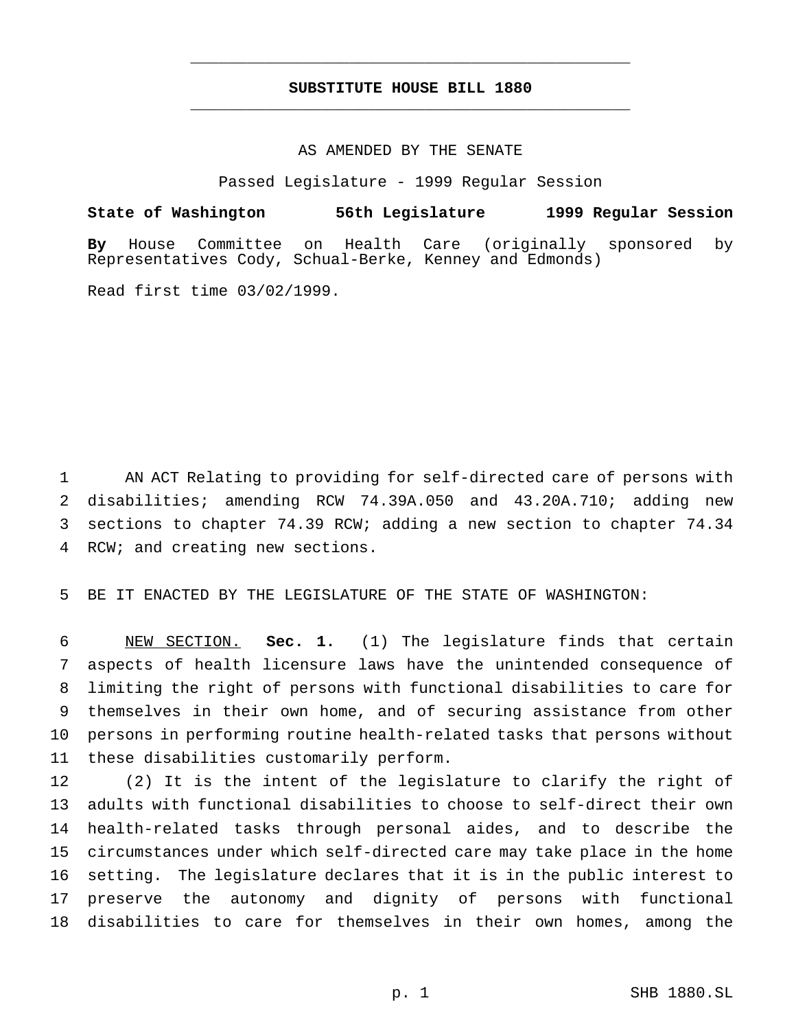## **SUBSTITUTE HOUSE BILL 1880** \_\_\_\_\_\_\_\_\_\_\_\_\_\_\_\_\_\_\_\_\_\_\_\_\_\_\_\_\_\_\_\_\_\_\_\_\_\_\_\_\_\_\_\_\_\_\_

\_\_\_\_\_\_\_\_\_\_\_\_\_\_\_\_\_\_\_\_\_\_\_\_\_\_\_\_\_\_\_\_\_\_\_\_\_\_\_\_\_\_\_\_\_\_\_

## AS AMENDED BY THE SENATE

Passed Legislature - 1999 Regular Session

**State of Washington 56th Legislature 1999 Regular Session By** House Committee on Health Care (originally sponsored by Representatives Cody, Schual-Berke, Kenney and Edmonds)

Read first time 03/02/1999.

 AN ACT Relating to providing for self-directed care of persons with disabilities; amending RCW 74.39A.050 and 43.20A.710; adding new sections to chapter 74.39 RCW; adding a new section to chapter 74.34 RCW; and creating new sections.

BE IT ENACTED BY THE LEGISLATURE OF THE STATE OF WASHINGTON:

 NEW SECTION. **Sec. 1.** (1) The legislature finds that certain aspects of health licensure laws have the unintended consequence of limiting the right of persons with functional disabilities to care for themselves in their own home, and of securing assistance from other persons in performing routine health-related tasks that persons without these disabilities customarily perform.

 (2) It is the intent of the legislature to clarify the right of adults with functional disabilities to choose to self-direct their own health-related tasks through personal aides, and to describe the circumstances under which self-directed care may take place in the home setting. The legislature declares that it is in the public interest to preserve the autonomy and dignity of persons with functional disabilities to care for themselves in their own homes, among the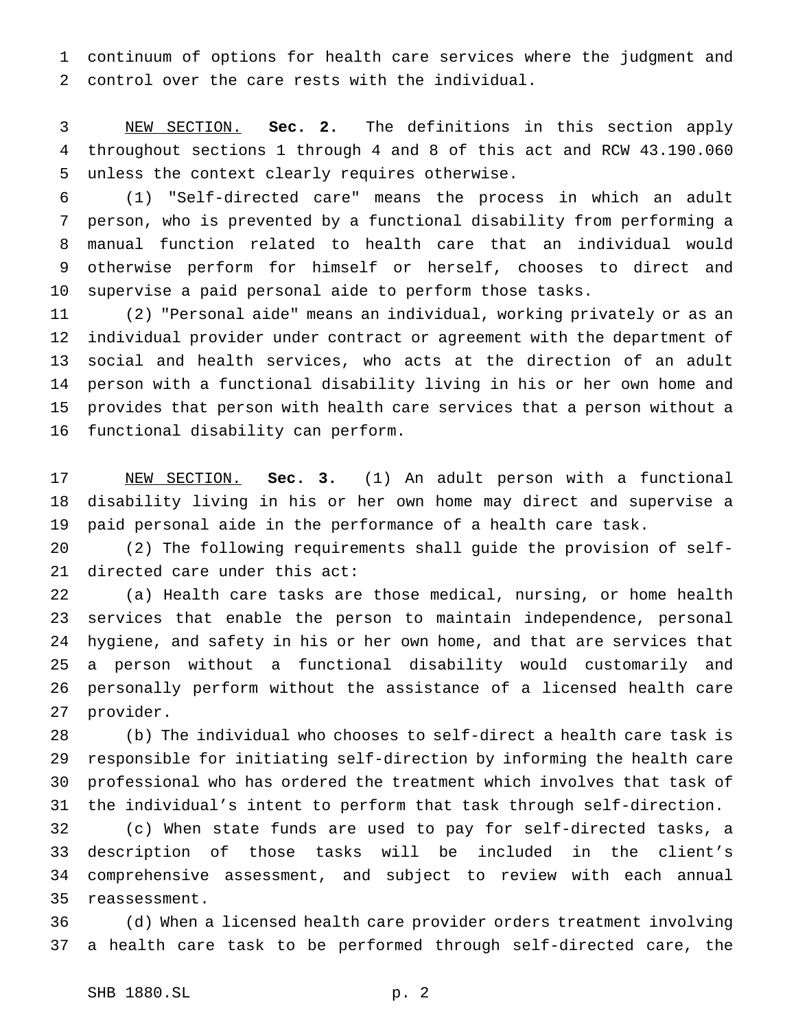continuum of options for health care services where the judgment and control over the care rests with the individual.

 NEW SECTION. **Sec. 2.** The definitions in this section apply throughout sections 1 through 4 and 8 of this act and RCW 43.190.060 unless the context clearly requires otherwise.

 (1) "Self-directed care" means the process in which an adult person, who is prevented by a functional disability from performing a manual function related to health care that an individual would otherwise perform for himself or herself, chooses to direct and supervise a paid personal aide to perform those tasks.

 (2) "Personal aide" means an individual, working privately or as an individual provider under contract or agreement with the department of social and health services, who acts at the direction of an adult person with a functional disability living in his or her own home and provides that person with health care services that a person without a functional disability can perform.

 NEW SECTION. **Sec. 3.** (1) An adult person with a functional disability living in his or her own home may direct and supervise a paid personal aide in the performance of a health care task.

 (2) The following requirements shall guide the provision of self-directed care under this act:

 (a) Health care tasks are those medical, nursing, or home health services that enable the person to maintain independence, personal hygiene, and safety in his or her own home, and that are services that a person without a functional disability would customarily and personally perform without the assistance of a licensed health care provider.

 (b) The individual who chooses to self-direct a health care task is responsible for initiating self-direction by informing the health care professional who has ordered the treatment which involves that task of the individual's intent to perform that task through self-direction.

 (c) When state funds are used to pay for self-directed tasks, a description of those tasks will be included in the client's comprehensive assessment, and subject to review with each annual reassessment.

 (d) When a licensed health care provider orders treatment involving a health care task to be performed through self-directed care, the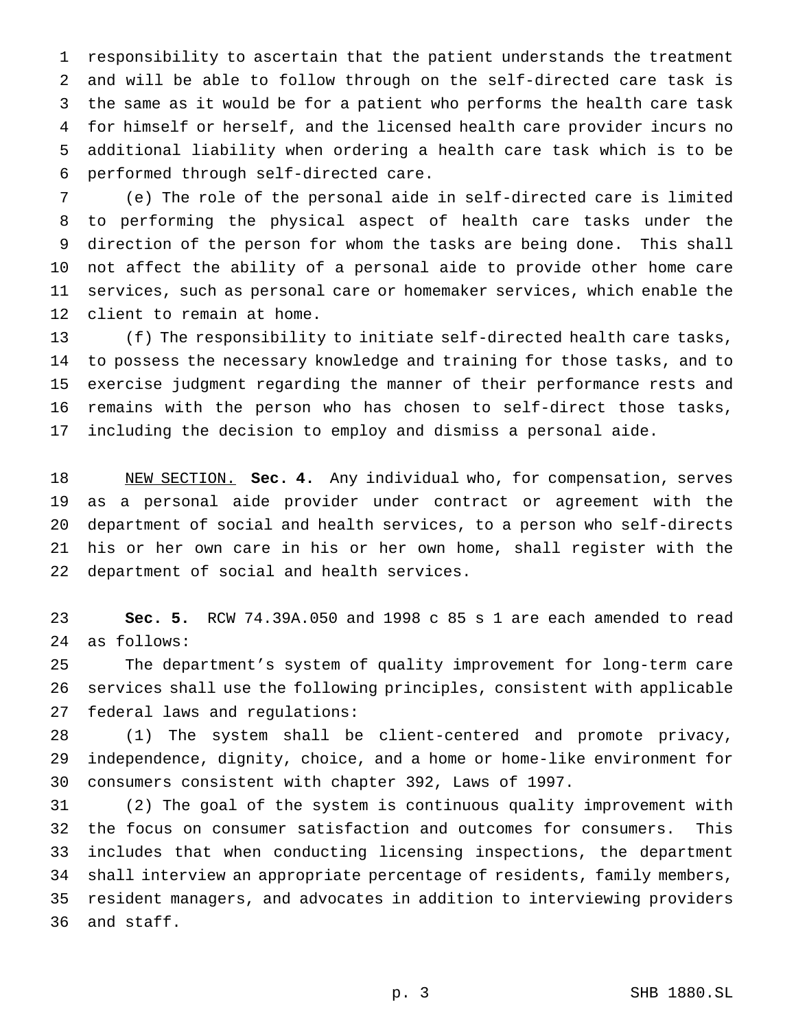responsibility to ascertain that the patient understands the treatment and will be able to follow through on the self-directed care task is the same as it would be for a patient who performs the health care task for himself or herself, and the licensed health care provider incurs no additional liability when ordering a health care task which is to be performed through self-directed care.

 (e) The role of the personal aide in self-directed care is limited to performing the physical aspect of health care tasks under the direction of the person for whom the tasks are being done. This shall not affect the ability of a personal aide to provide other home care services, such as personal care or homemaker services, which enable the client to remain at home.

 (f) The responsibility to initiate self-directed health care tasks, to possess the necessary knowledge and training for those tasks, and to exercise judgment regarding the manner of their performance rests and remains with the person who has chosen to self-direct those tasks, including the decision to employ and dismiss a personal aide.

 NEW SECTION. **Sec. 4.** Any individual who, for compensation, serves as a personal aide provider under contract or agreement with the department of social and health services, to a person who self-directs his or her own care in his or her own home, shall register with the department of social and health services.

 **Sec. 5.** RCW 74.39A.050 and 1998 c 85 s 1 are each amended to read as follows:

 The department's system of quality improvement for long-term care services shall use the following principles, consistent with applicable federal laws and regulations:

 (1) The system shall be client-centered and promote privacy, independence, dignity, choice, and a home or home-like environment for consumers consistent with chapter 392, Laws of 1997.

 (2) The goal of the system is continuous quality improvement with the focus on consumer satisfaction and outcomes for consumers. This includes that when conducting licensing inspections, the department shall interview an appropriate percentage of residents, family members, resident managers, and advocates in addition to interviewing providers and staff.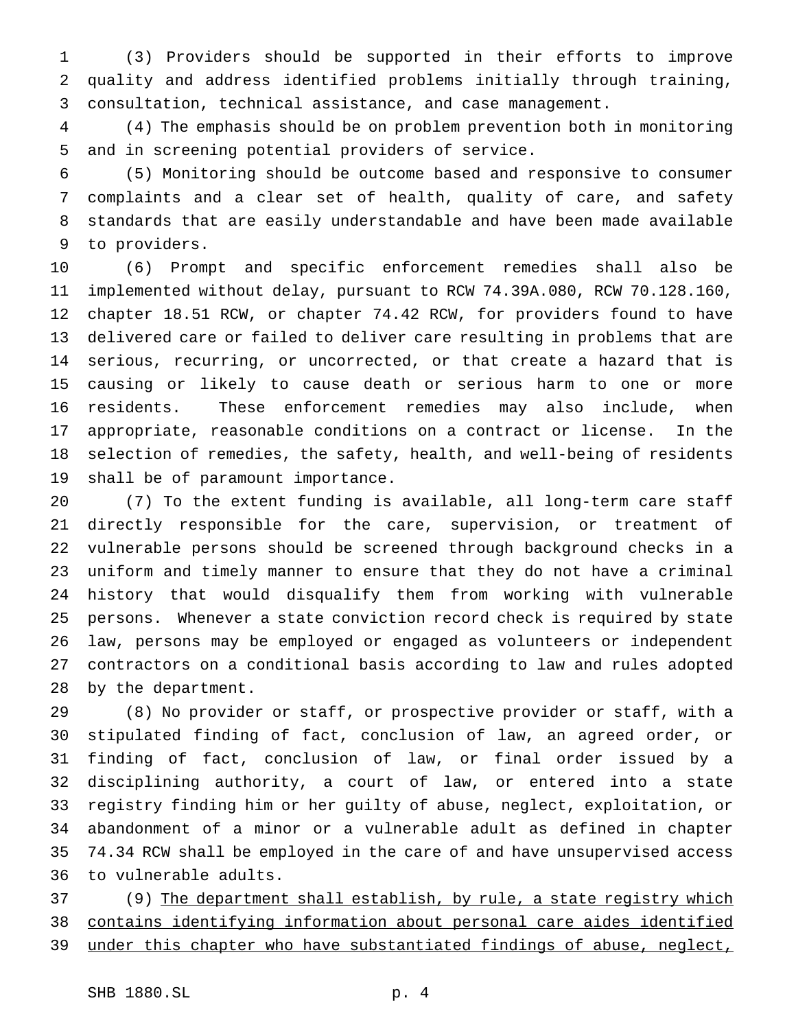(3) Providers should be supported in their efforts to improve quality and address identified problems initially through training, consultation, technical assistance, and case management.

 (4) The emphasis should be on problem prevention both in monitoring and in screening potential providers of service.

 (5) Monitoring should be outcome based and responsive to consumer complaints and a clear set of health, quality of care, and safety standards that are easily understandable and have been made available to providers.

 (6) Prompt and specific enforcement remedies shall also be implemented without delay, pursuant to RCW 74.39A.080, RCW 70.128.160, chapter 18.51 RCW, or chapter 74.42 RCW, for providers found to have delivered care or failed to deliver care resulting in problems that are serious, recurring, or uncorrected, or that create a hazard that is causing or likely to cause death or serious harm to one or more residents. These enforcement remedies may also include, when appropriate, reasonable conditions on a contract or license. In the selection of remedies, the safety, health, and well-being of residents shall be of paramount importance.

 (7) To the extent funding is available, all long-term care staff directly responsible for the care, supervision, or treatment of vulnerable persons should be screened through background checks in a uniform and timely manner to ensure that they do not have a criminal history that would disqualify them from working with vulnerable persons. Whenever a state conviction record check is required by state law, persons may be employed or engaged as volunteers or independent contractors on a conditional basis according to law and rules adopted by the department.

 (8) No provider or staff, or prospective provider or staff, with a stipulated finding of fact, conclusion of law, an agreed order, or finding of fact, conclusion of law, or final order issued by a disciplining authority, a court of law, or entered into a state registry finding him or her guilty of abuse, neglect, exploitation, or abandonment of a minor or a vulnerable adult as defined in chapter 74.34 RCW shall be employed in the care of and have unsupervised access to vulnerable adults.

37 (9) The department shall establish, by rule, a state registry which contains identifying information about personal care aides identified under this chapter who have substantiated findings of abuse, neglect,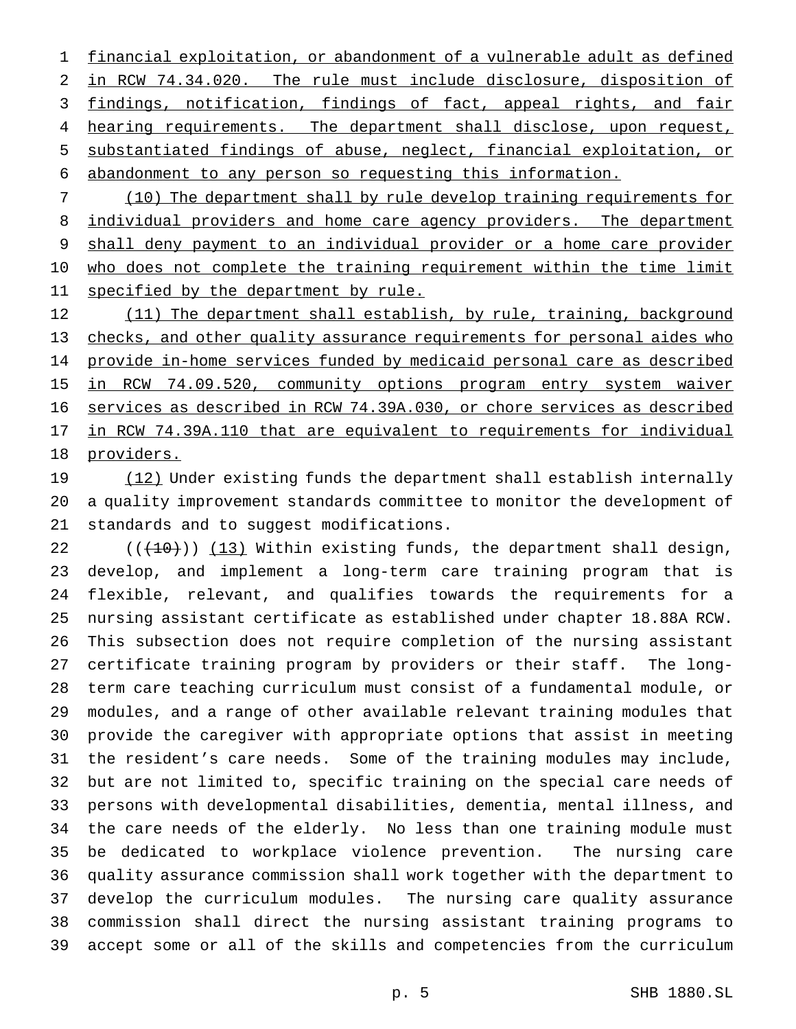financial exploitation, or abandonment of a vulnerable adult as defined in RCW 74.34.020. The rule must include disclosure, disposition of findings, notification, findings of fact, appeal rights, and fair 4 hearing requirements. The department shall disclose, upon request, substantiated findings of abuse, neglect, financial exploitation, or abandonment to any person so requesting this information.

 (10) The department shall by rule develop training requirements for 8 individual providers and home care agency providers. The department shall deny payment to an individual provider or a home care provider 10 who does not complete the training requirement within the time limit 11 specified by the department by rule.

12 (11) The department shall establish, by rule, training, background checks, and other quality assurance requirements for personal aides who provide in-home services funded by medicaid personal care as described in RCW 74.09.520, community options program entry system waiver services as described in RCW 74.39A.030, or chore services as described in RCW 74.39A.110 that are equivalent to requirements for individual providers.

19 (12) Under existing funds the department shall establish internally a quality improvement standards committee to monitor the development of standards and to suggest modifications.

 $((+10))$   $(13)$  Within existing funds, the department shall design, develop, and implement a long-term care training program that is flexible, relevant, and qualifies towards the requirements for a nursing assistant certificate as established under chapter 18.88A RCW. This subsection does not require completion of the nursing assistant certificate training program by providers or their staff. The long- term care teaching curriculum must consist of a fundamental module, or modules, and a range of other available relevant training modules that provide the caregiver with appropriate options that assist in meeting the resident's care needs. Some of the training modules may include, but are not limited to, specific training on the special care needs of persons with developmental disabilities, dementia, mental illness, and the care needs of the elderly. No less than one training module must be dedicated to workplace violence prevention. The nursing care quality assurance commission shall work together with the department to develop the curriculum modules. The nursing care quality assurance commission shall direct the nursing assistant training programs to accept some or all of the skills and competencies from the curriculum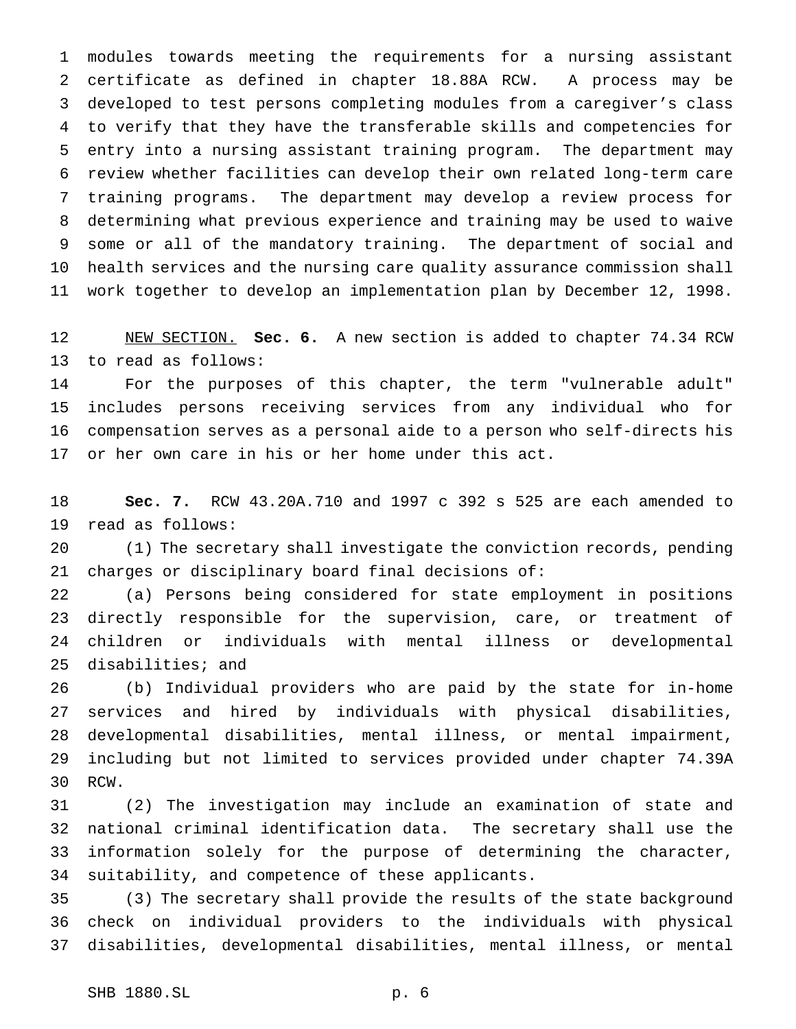modules towards meeting the requirements for a nursing assistant certificate as defined in chapter 18.88A RCW. A process may be developed to test persons completing modules from a caregiver's class to verify that they have the transferable skills and competencies for entry into a nursing assistant training program. The department may review whether facilities can develop their own related long-term care training programs. The department may develop a review process for determining what previous experience and training may be used to waive some or all of the mandatory training. The department of social and health services and the nursing care quality assurance commission shall work together to develop an implementation plan by December 12, 1998.

 NEW SECTION. **Sec. 6.** A new section is added to chapter 74.34 RCW to read as follows:

 For the purposes of this chapter, the term "vulnerable adult" includes persons receiving services from any individual who for compensation serves as a personal aide to a person who self-directs his or her own care in his or her home under this act.

 **Sec. 7.** RCW 43.20A.710 and 1997 c 392 s 525 are each amended to read as follows:

 (1) The secretary shall investigate the conviction records, pending charges or disciplinary board final decisions of:

 (a) Persons being considered for state employment in positions directly responsible for the supervision, care, or treatment of children or individuals with mental illness or developmental disabilities; and

 (b) Individual providers who are paid by the state for in-home services and hired by individuals with physical disabilities, developmental disabilities, mental illness, or mental impairment, including but not limited to services provided under chapter 74.39A RCW.

 (2) The investigation may include an examination of state and national criminal identification data. The secretary shall use the information solely for the purpose of determining the character, suitability, and competence of these applicants.

 (3) The secretary shall provide the results of the state background check on individual providers to the individuals with physical disabilities, developmental disabilities, mental illness, or mental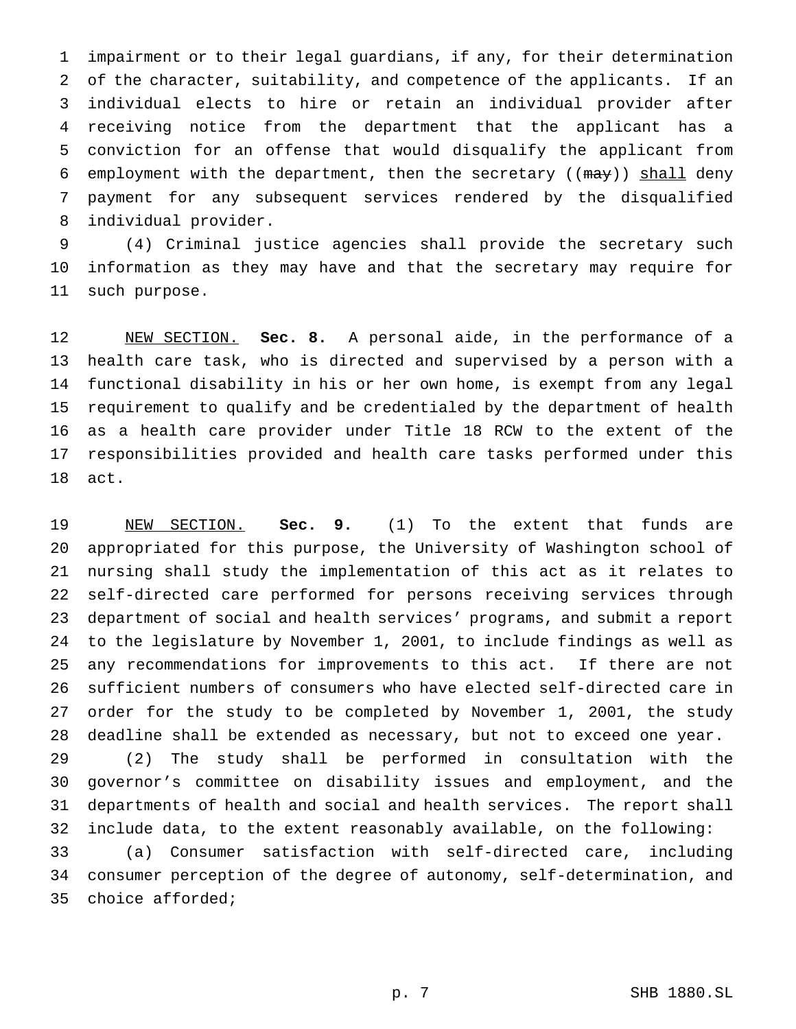impairment or to their legal guardians, if any, for their determination of the character, suitability, and competence of the applicants. If an individual elects to hire or retain an individual provider after receiving notice from the department that the applicant has a conviction for an offense that would disqualify the applicant from 6 employment with the department, then the secretary  $((m\alpha y))$  shall deny payment for any subsequent services rendered by the disqualified individual provider.

 (4) Criminal justice agencies shall provide the secretary such information as they may have and that the secretary may require for such purpose.

 NEW SECTION. **Sec. 8.** A personal aide, in the performance of a health care task, who is directed and supervised by a person with a functional disability in his or her own home, is exempt from any legal requirement to qualify and be credentialed by the department of health as a health care provider under Title 18 RCW to the extent of the responsibilities provided and health care tasks performed under this act.

 NEW SECTION. **Sec. 9.** (1) To the extent that funds are appropriated for this purpose, the University of Washington school of nursing shall study the implementation of this act as it relates to self-directed care performed for persons receiving services through department of social and health services' programs, and submit a report to the legislature by November 1, 2001, to include findings as well as any recommendations for improvements to this act. If there are not sufficient numbers of consumers who have elected self-directed care in order for the study to be completed by November 1, 2001, the study deadline shall be extended as necessary, but not to exceed one year. (2) The study shall be performed in consultation with the governor's committee on disability issues and employment, and the departments of health and social and health services. The report shall include data, to the extent reasonably available, on the following: (a) Consumer satisfaction with self-directed care, including consumer perception of the degree of autonomy, self-determination, and choice afforded;